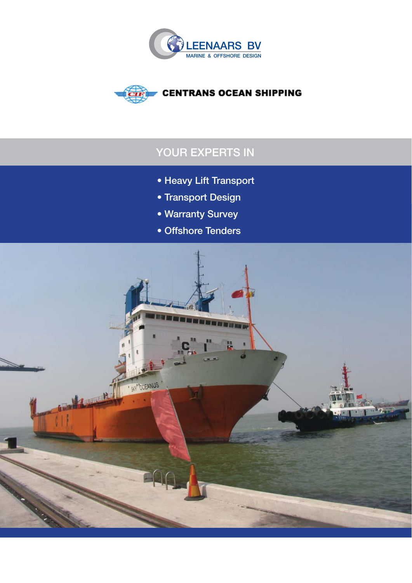



# **YOUR EXPERTS IN**

- **Heavy Lift Transport**
- **Transport Design**
- **Warranty Survey**
- **Offshore Tenders**

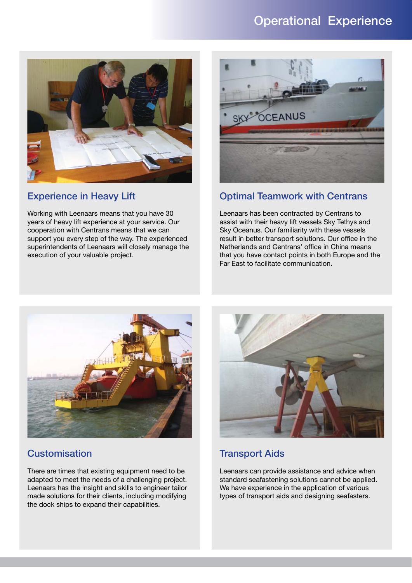## **Operational Experience**



### **Experience in Heavy Lift**

Working with Leenaars means that you have 30 years of heavy lift experience at your service. Our cooperation with Centrans means that we can support you every step of the way. The experienced superintendents of Leenaars will closely manage the execution of your valuable project.



### **Optimal Teamwork with Centrans**

Leenaars has been contracted by Centrans to assist with their heavy lift vessels Sky Tethys and Sky Oceanus. Our familiarity with these vessels result in better transport solutions. Our office in the Netherlands and Centrans' office in China means that you have contact points in both Europe and the Far East to facilitate communication.



### **Customisation**

There are times that existing equipment need to be adapted to meet the needs of a challenging project. Leenaars has the insight and skills to engineer tailor made solutions for their clients, including modifying the dock ships to expand their capabilities.



### **Transport Aids**

Leenaars can provide assistance and advice when standard seafastening solutions cannot be applied. We have experience in the application of various types of transport aids and designing seafasters.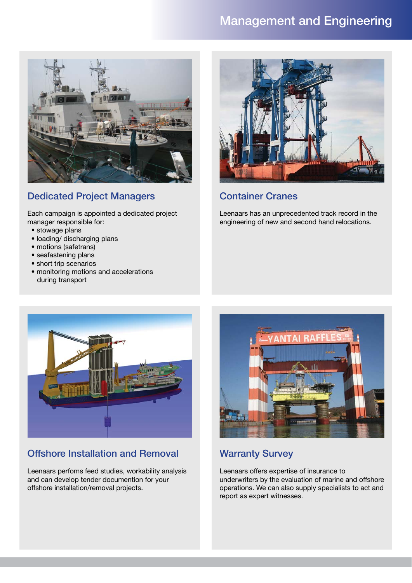## **Management and Engineering**



## **Dedicated Project Managers**

Each campaign is appointed a dedicated project manager responsible for:

- stowage plans
- loading/ discharging plans
- motions (safetrans)
- seafastening plans
- short trip scenarios
- monitoring motions and accelerations during transport



### **Container Cranes**

Leenaars has an unprecedented track record in the engineering of new and second hand relocations.



## **Offshore Installation and Removal**

Leenaars perfoms feed studies, workability analysis and can develop tender documention for your offshore installation/removal projects.



## **Warranty Survey**

Leenaars offers expertise of insurance to underwriters by the evaluation of marine and offshore operations. We can also supply specialists to act and report as expert witnesses.